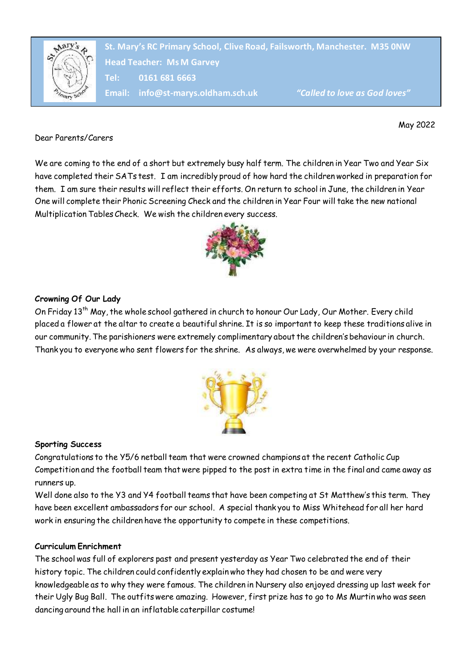

**Head Teacher: Ms M Garvey Head Teacher: Ms M Garvey St. Mary's RC Primary School, Clive Road, Failsworth, Manchester. M35 0NW Tel: 0161 681 6663 Email: info@st-marys.oldham.sch.uk** *"Called to love as God loves"*

May 2022

Dear Parents/Carers

We are coming to the end of a short but extremely busy half term. The children in Year Two and Year Six have completed their SATs test. I am incredibly proud of how hard the children worked in preparation for them. I am sure their results will reflect their efforts. On return to school in June, the children in Year One will complete their Phonic Screening Check and the children in Year Four will take the new national Multiplication Tables Check. We wish the children every success.



# **Crowning Of Our Lady**

On Friday 13<sup>th</sup> May, the whole school gathered in church to honour Our Lady, Our Mother. Every child placed a flower at the altar to create a beautiful shrine. It is so important to keep these traditions alive in our community. The parishioners were extremely complimentary about the children's behaviour in church. Thank you to everyone who sent flowers for the shrine. As always, we were overwhelmed by your response.



## **Sporting Success**

Congratulations to the Y5/6 netball team that were crowned champions at the recent Catholic Cup Competition and the football team that were pipped to the post in extra time in the final and came away as runners up.

Well done also to the Y3 and Y4 football teams that have been competing at St Matthew's this term. They have been excellent ambassadors for our school. A special thank you to Miss Whitehead for all her hard work in ensuring the children have the opportunity to compete in these competitions.

## **Curriculum Enrichment**

The school was full of explorers past and present yesterday as Year Two celebrated the end of their history topic. The children could confidently explain who they had chosen to be and were very knowledgeable as to why they were famous. The children in Nursery also enjoyed dressing up last week for their Ugly Bug Ball. The outfits were amazing. However, first prize has to go to Ms Murtin who was seen dancing around the hall in an inflatable caterpillar costume!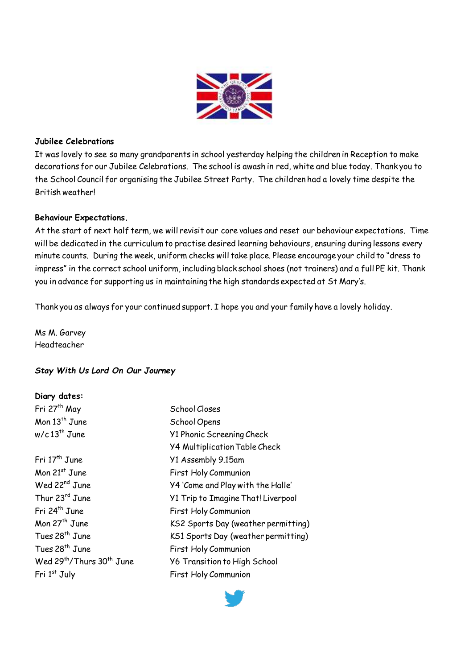

## **Jubilee Celebrations**

It was lovely to see so many grandparents in school yesterday helping the children in Reception to make decorations for our Jubilee Celebrations. The school is awash in red, white and blue today. Thank you to the School Council for organising the Jubilee Street Party. The children had a lovely time despite the British weather!

#### **Behaviour Expectations.**

At the start of next half term, we will revisit our core values and reset our behaviour expectations. Time will be dedicated in the curriculum to practise desired learning behaviours, ensuring during lessons every minute counts. During the week, uniform checks will take place. Please encourage your child to "dress to impress" in the correct school uniform, including black school shoes (not trainers) and a full PE kit. Thank you in advance for supporting us in maintaining the high standards expected at St Mary's.

Thank you as always for your continued support. I hope you and your family have a lovely holiday.

Ms M. Garvey Headteacher

## *Stay With Us Lord On Our Journey*

#### **Diary dates:**

| Fri 27 <sup>th</sup> May                          | School Closes                             |
|---------------------------------------------------|-------------------------------------------|
| Mon 13 <sup>th</sup> June                         | School Opens                              |
| $w/c$ 13 <sup>th</sup> June                       | <b>Y1 Phonic Screening Check</b>          |
|                                                   | <b>Y4 Multiplication Table Check</b>      |
| Fri 17 <sup>th</sup> June                         | Y1 Assembly 9.15am                        |
| Mon $21^{st}$ June                                | First Holy Communion                      |
| Wed 22 <sup>nd</sup> June                         | Y4 'Come and Play with the Halle'         |
| Thur 23rd June                                    | <b>Y1 Trip to Imagine That! Liverpool</b> |
| Fri 24 <sup>th</sup> June                         | First Holy Communion                      |
| Mon 27 <sup>th</sup> June                         | KS2 Sports Day (weather permitting)       |
| Tues 28 <sup>th</sup> June                        | KS1 Sports Day (weather permitting)       |
| Tues 28 <sup>th</sup> June                        | First Holy Communion                      |
| Wed 29 <sup>th</sup> /Thurs 30 <sup>th</sup> June | <b>Y6 Transition to High School</b>       |
| Fri 1st July                                      | <b>First Holy Communion</b>               |
|                                                   |                                           |